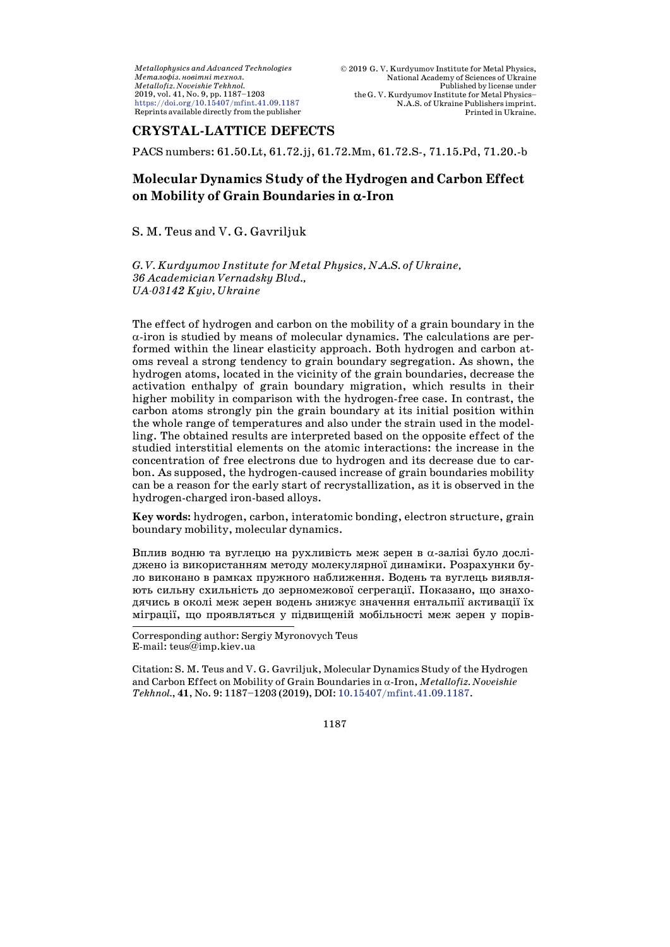# **CRYSTAL-LATTICE DEFECTS**

PACS numbers: 61.50.Lt, 61.72.jj, 61.72.Mm, 61.72.S-, 71.15.Pd, 71.20.-b

# **Molecular Dynamics Study of the Hydrogen and Carbon Effect on Mobility of Grain Boundaries in** α**-Iron**

S. M. Teus and V. G. Gavriljuk

*G. V. Kurdyumov Institute for Metal Physics, N.A.S. of Ukraine, 36 Academician Vernadsky Blvd., UA-03142 Kyiv, Ukraine*

The effect of hydrogen and carbon on the mobility of a grain boundary in the α-iron is studied by means of molecular dynamics. The calculations are performed within the linear elasticity approach. Both hydrogen and carbon atoms reveal a strong tendency to grain boundary segregation. As shown, the hydrogen atoms, located in the vicinity of the grain boundaries, decrease the activation enthalpy of grain boundary migration, which results in their higher mobility in comparison with the hydrogen-free case. In contrast, the carbon atoms strongly pin the grain boundary at its initial position within the whole range of temperatures and also under the strain used in the modelling. The obtained results are interpreted based on the opposite effect of the studied interstitial elements on the atomic interactions: the increase in the concentration of free electrons due to hydrogen and its decrease due to carbon. As supposed, the hydrogen-caused increase of grain boundaries mobility can be a reason for the early start of recrystallization, as it is observed in the hydrogen-charged iron-based alloys.

**Key words:** hydrogen, carbon, interatomic bonding, electron structure, grain boundary mobility, molecular dynamics.

Вплив водню та вуглецю на рухливість меж зерен в α-залізі було досліджено із використанням методу молекулярної динаміки. Розрахунки було виконано в рамках пружного наближення. Водень та вуглець виявляють сильну схильність до зерномежової сегрегації. Показано, що знаходячись в околі меж зерен водень знижує значення ентальпії активації їх міграції, що проявляться у підвищеній мобільності меж зерен у порів-

l,

Citation: S. M. Teus and V. G. Gavriljuk, Molecular Dynamics Study of the Hydrogen and Carbon Effect on Mobility of Grain Boundaries in α-Iron, *Metallofiz. Noveishie Tekhnol.*, **41**, No. 9: 1187–1203 (2019), DOI: [10.15407/mfint.41.09.1187.](https://doi.org/10.15407/mfint.41.09.1187)

1187

Corresponding author: Sergiy Myronovych Teus E-mail: teus@imp.kiev.ua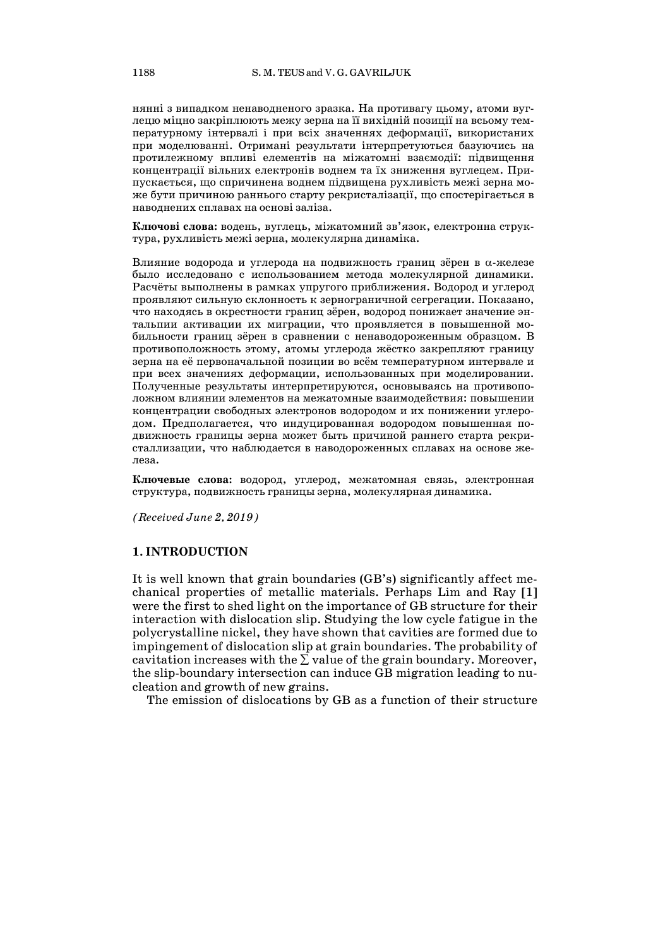нянні з випадком ненаводненого зразка. На противагу цьому, атоми вуглецю міцно закріплюють межу зерна на її вихідній позиції на всьому температурному інтервалі і при всіх значеннях деформації, використаних при моделюванні. Отримані результати інтерпретуються базуючись на протилежному впливі елементів на міжатомні взаємодії: підвищення концентрації вільних електронів воднем та їх зниження вуглецем. Припускається, що спричинена воднем підвищена рухливість межі зерна може бути причиною раннього старту рекристалізації, що спостерігається в наводнених сплавах на основі заліза.

**Ключові слова:** водень, вуглець, міжатомний зв'язок, електронна структура, рухливість межі зерна, молекулярна динаміка.

Влияние водорода и углерода на подвижность границ зёрен в α-железе было исследовано с использованием метода молекулярной динамики. Расчёты выполнены в рамках упругого приближения. Водород и углерод проявляют сильную склонность к зернограничной сегрегации. Показано, что находясь в окрестности границ зёрен, водород понижает значение энтальпии активации их миграции, что проявляется в повышенной мобильности границ зёрен в сравнении с ненаводороженным образцом. В противоположность этому, атомы углерода жёстко закрепляют границу зерна на её первоначальной позиции во всём температурном интервале и при всех значениях деформации, использованных при моделировании. Полученные результаты интерпретируются, основываясь на противоположном влиянии элементов на межатомные взаимодействия: повышении концентрации свободных электронов водородом и их понижении углеродом. Предполагается, что индуцированная водородом повышенная подвижность границы зерна может быть причиной раннего старта рекристаллизации, что наблюдается в наводороженных сплавах на основе железа.

**Ключевые слова:** водород, углерод, межатомная связь, электронная структура, подвижность границы зерна, молекулярная динамика.

*(Received June 2, 2019)*

## **1. INTRODUCTION**

It is well known that grain boundaries (GB's) significantly affect mechanical properties of metallic materials. Perhaps Lim and Ray [1] were the first to shed light on the importance of GB structure for their interaction with dislocation slip. Studying the low cycle fatigue in the polycrystalline nickel, they have shown that cavities are formed due to impingement of dislocation slip at grain boundaries. The probability of cavitation increases with the  $\Sigma$  value of the grain boundary. Moreover, the slip-boundary intersection can induce GB migration leading to nucleation and growth of new grains.

The emission of dislocations by GB as a function of their structure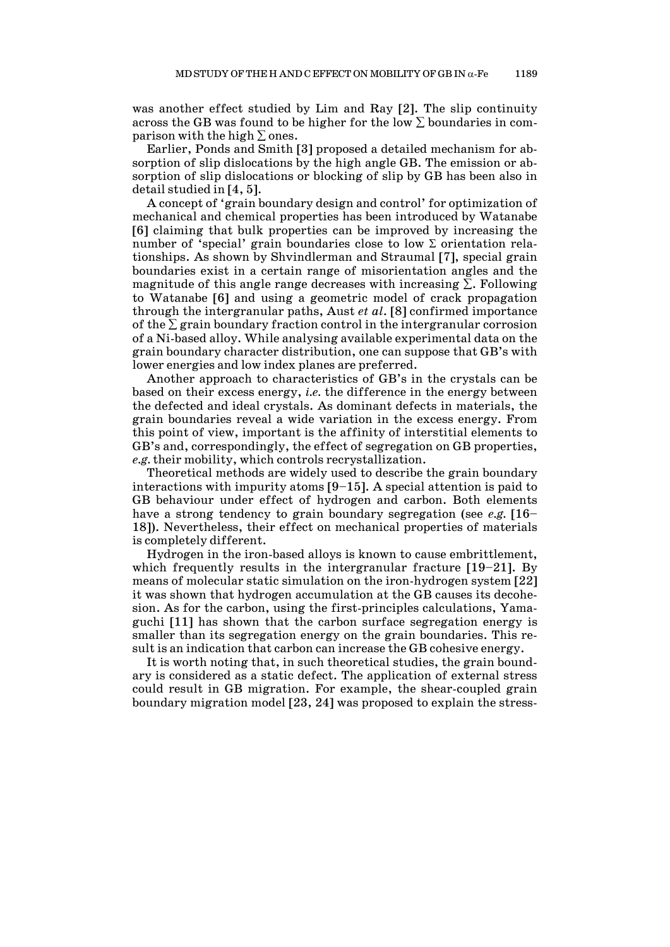was another effect studied by Lim and Ray [2]. The slip continuity across the GB was found to be higher for the low  $\Sigma$  boundaries in comparison with the high  $\Sigma$  ones.

Earlier, Ponds and Smith [3] proposed a detailed mechanism for absorption of slip dislocations by the high angle GB. The emission or absorption of slip dislocations or blocking of slip by GB has been also in detail studied in [4, 5].

A concept of 'grain boundary design and control' for optimization of mechanical and chemical properties has been introduced by Watanabe [6] claiming that bulk properties can be improved by increasing the number of 'special' grain boundaries close to low  $\Sigma$  orientation relationships. As shown by Shvindlerman and Straumal [7], special grain boundaries exist in a certain range of misorientation angles and the magnitude of this angle range decreases with increasing  $\Sigma$ . Following to Watanabe [6] and using a geometric model of crack propagation through the intergranular paths, Aust *et al*. [8] confirmed importance of the  $\Sigma$  grain boundary fraction control in the intergranular corrosion of a Ni-based alloy. While analysing available experimental data on the grain boundary character distribution, one can suppose that GB's with lower energies and low index planes are preferred.

Another approach to characteristics of GB's in the crystals can be based on their excess energy, *i.e.* the difference in the energy between the defected and ideal crystals. As dominant defects in materials, the grain boundaries reveal a wide variation in the excess energy. From this point of view, important is the affinity of interstitial elements to GB's and, correspondingly, the effect of segregation on GB properties, *e.g.* their mobility, which controls recrystallization.

Theoretical methods are widely used to describe the grain boundary interactions with impurity atoms [9–15]. A special attention is paid to GB behaviour under effect of hydrogen and carbon. Both elements have a strong tendency to grain boundary segregation (see *e.g.* [16– 18]). Nevertheless, their effect on mechanical properties of materials is completely different.

Hydrogen in the iron-based alloys is known to cause embrittlement, which frequently results in the intergranular fracture [19–21]. By means of molecular static simulation on the iron-hydrogen system [22] it was shown that hydrogen accumulation at the GB causes its decohesion. As for the carbon, using the first-principles calculations, Yamaguchi [11] has shown that the carbon surface segregation energy is smaller than its segregation energy on the grain boundaries. This result is an indication that carbon can increase the GB cohesive energy.

It is worth noting that, in such theoretical studies, the grain boundary is considered as a static defect. The application of external stress could result in GB migration. For example, the shear-coupled grain boundary migration model [23, 24] was proposed to explain the stress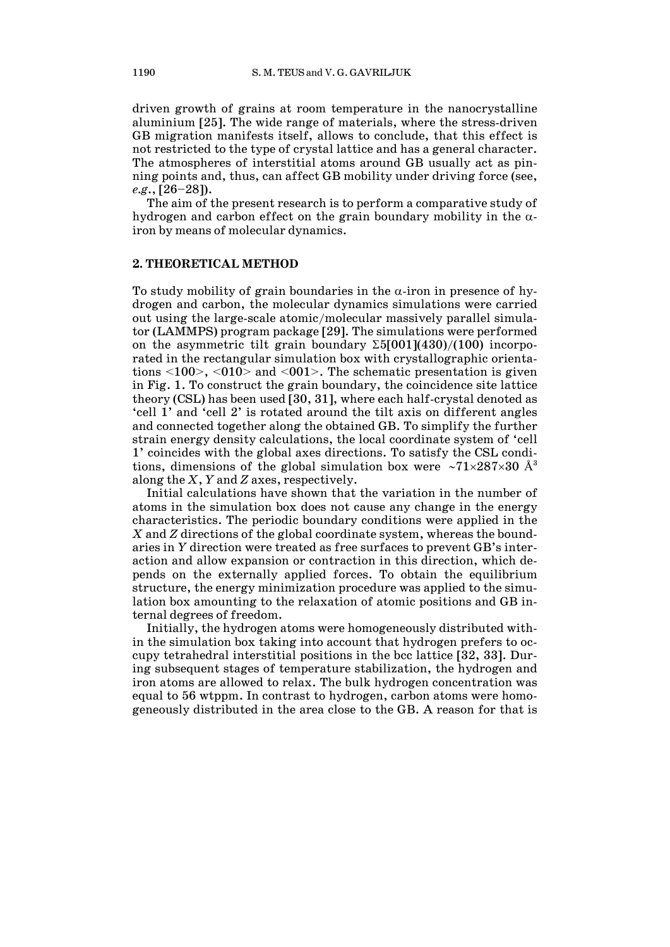driven growth of grains at room temperature in the nanocrystalline aluminium [25]. The wide range of materials, where the stress-driven GB migration manifests itself, allows to conclude, that this effect is not restricted to the type of crystal lattice and has a general character. The atmospheres of interstitial atoms around GB usually act as pinning points and, thus, can affect GB mobility under driving force (see, *e.g*., [26–28]).

The aim of the present research is to perform a comparative study of hydrogen and carbon effect on the grain boundary mobility in the  $\alpha$ iron by means of molecular dynamics.

### **2. THEORETICAL METHOD**

To study mobility of grain boundaries in the  $\alpha$ -iron in presence of hydrogen and carbon, the molecular dynamics simulations were carried out using the large-scale atomic/molecular massively parallel simulator (LAMMPS) program package [29]. The simulations were performed on the asymmetric tilt grain boundary  $\Sigma 5[001](430)/(100)$  incorporated in the rectangular simulation box with crystallographic orientations <100>, <010> and <001>. The schematic presentation is given in Fig. 1. To construct the grain boundary, the coincidence site lattice theory (CSL) has been used [30, 31], where each half-crystal denoted as 'cell 1' and 'cell 2' is rotated around the tilt axis on different angles and connected together along the obtained GB. To simplify the further strain energy density calculations, the local coordinate system of 'cell 1' coincides with the global axes directions. To satisfy the CSL conditions, dimensions of the global simulation box were ∼71×287×30 Å<sup>3</sup> along the *X*, *Y* and *Z* axes, respectively.

Initial calculations have shown that the variation in the number of atoms in the simulation box does not cause any change in the energy characteristics. The periodic boundary conditions were applied in the *X* and *Z* directions of the global coordinate system, whereas the boundaries in *Y* direction were treated as free surfaces to prevent GB's interaction and allow expansion or contraction in this direction, which depends on the externally applied forces. To obtain the equilibrium structure, the energy minimization procedure was applied to the simulation box amounting to the relaxation of atomic positions and GB internal degrees of freedom.

Initially, the hydrogen atoms were homogeneously distributed within the simulation box taking into account that hydrogen prefers to occupy tetrahedral interstitial positions in the bcc lattice [32, 33]. During subsequent stages of temperature stabilization, the hydrogen and iron atoms are allowed to relax. The bulk hydrogen concentration was equal to 56 wtppm. In contrast to hydrogen, carbon atoms were homogeneously distributed in the area close to the GB. A reason for that is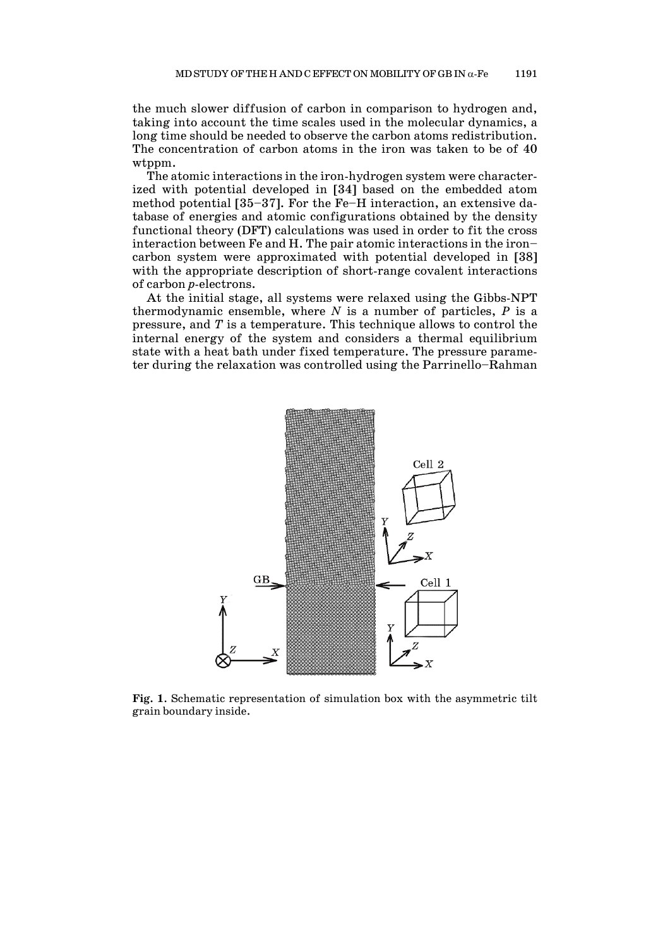the much slower diffusion of carbon in comparison to hydrogen and, taking into account the time scales used in the molecular dynamics, a long time should be needed to observe the carbon atoms redistribution. The concentration of carbon atoms in the iron was taken to be of 40 wtppm.

The atomic interactions in the iron-hydrogen system were characterized with potential developed in [34] based on the embedded atom method potential [35–37]. For the Fe–H interaction, an extensive database of energies and atomic configurations obtained by the density functional theory (DFT) calculations was used in order to fit the cross interaction between Fe and H. The pair atomic interactions in the iron– carbon system were approximated with potential developed in [38] with the appropriate description of short-range covalent interactions of carbon *p*-electrons.

At the initial stage, all systems were relaxed using the Gibbs-NPT thermodynamic ensemble, where *N* is a number of particles, *P* is a pressure, and *T* is a temperature. This technique allows to control the internal energy of the system and considers a thermal equilibrium state with a heat bath under fixed temperature. The pressure parameter during the relaxation was controlled using the Parrinello–Rahman



**Fig. 1**. Schematic representation of simulation box with the asymmetric tilt grain boundary inside.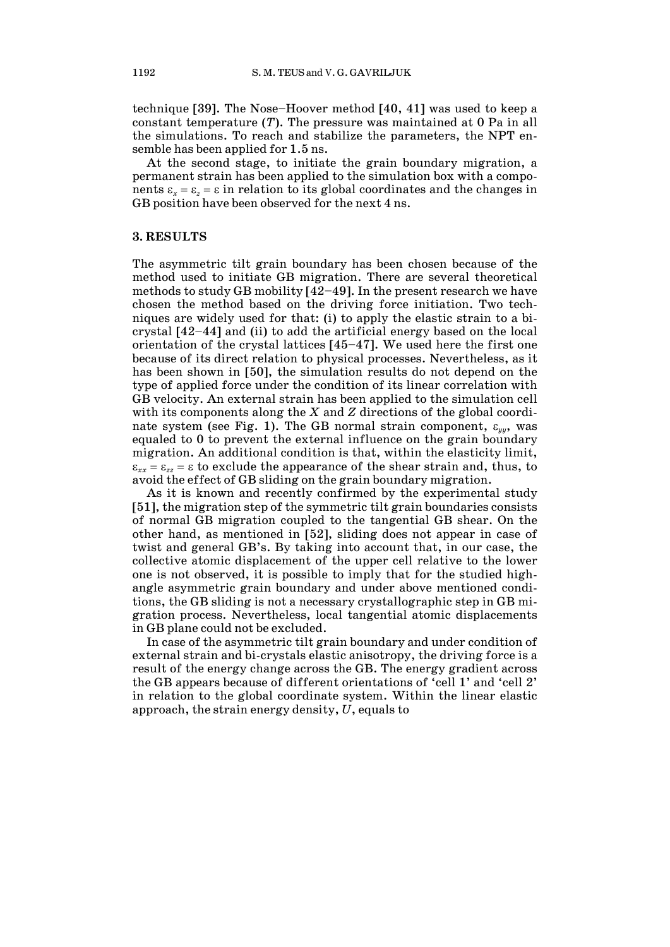technique [39]. The Nose–Hoover method [40, 41] was used to keep a constant temperature (*T*). The pressure was maintained at 0 Pa in all the simulations. To reach and stabilize the parameters, the NPT ensemble has been applied for 1.5 ns.

At the second stage, to initiate the grain boundary migration, a permanent strain has been applied to the simulation box with a components  $\varepsilon_x = \varepsilon_z = \varepsilon$  in relation to its global coordinates and the changes in GB position have been observed for the next 4 ns.

### **3. RESULTS**

The asymmetric tilt grain boundary has been chosen because of the method used to initiate GB migration. There are several theoretical methods to study GB mobility [42–49]. In the present research we have chosen the method based on the driving force initiation. Two techniques are widely used for that: (i) to apply the elastic strain to a bicrystal [42–44] and (ii) to add the artificial energy based on the local orientation of the crystal lattices [45–47]. We used here the first one because of its direct relation to physical processes. Nevertheless, as it has been shown in [50], the simulation results do not depend on the type of applied force under the condition of its linear correlation with GB velocity. An external strain has been applied to the simulation cell with its components along the *X* and *Z* directions of the global coordinate system (see Fig. 1). The GB normal strain component,  $\varepsilon_{yy}$ , was equaled to 0 to prevent the external influence on the grain boundary migration. An additional condition is that, within the elasticity limit,  $\varepsilon_{xx} = \varepsilon_{zz} = \varepsilon$  to exclude the appearance of the shear strain and, thus, to avoid the effect of GB sliding on the grain boundary migration.

As it is known and recently confirmed by the experimental study [51], the migration step of the symmetric tilt grain boundaries consists of normal GB migration coupled to the tangential GB shear. On the other hand, as mentioned in [52], sliding does not appear in case of twist and general GB's. By taking into account that, in our case, the collective atomic displacement of the upper cell relative to the lower one is not observed, it is possible to imply that for the studied highangle asymmetric grain boundary and under above mentioned conditions, the GB sliding is not a necessary crystallographic step in GB migration process. Nevertheless, local tangential atomic displacements in GB plane could not be excluded.

In case of the asymmetric tilt grain boundary and under condition of external strain and bi-crystals elastic anisotropy, the driving force is a result of the energy change across the GB. The energy gradient across the GB appears because of different orientations of 'cell 1' and 'cell 2' in relation to the global coordinate system. Within the linear elastic approach, the strain energy density, *U*, equals to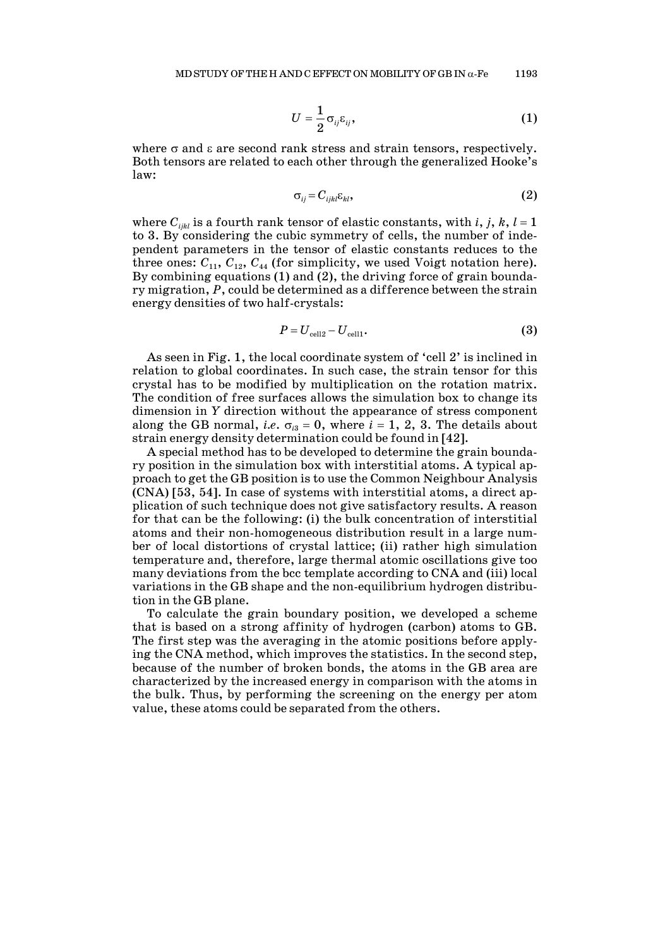$$
U=\frac{1}{2}\sigma_{ij}\varepsilon_{ij},\qquad(1)
$$

where  $\sigma$  and  $\varepsilon$  are second rank stress and strain tensors, respectively. Both tensors are related to each other through the generalized Hooke's law:

$$
\sigma_{ij} = C_{ijkl} \varepsilon_{kl}, \tag{2}
$$

where  $C_{ijkl}$  is a fourth rank tensor of elastic constants, with *i*, *j*, *k*, *l* = 1 to 3. By considering the cubic symmetry of cells, the number of independent parameters in the tensor of elastic constants reduces to the three ones:  $C_{11}$ ,  $C_{12}$ ,  $C_{44}$  (for simplicity, we used Voigt notation here). By combining equations (1) and (2), the driving force of grain boundary migration, *P*, could be determined as a difference between the strain energy densities of two half-crystals:

$$
P = U_{\text{cell2}} - U_{\text{cell1}}.\tag{3}
$$

As seen in Fig. 1, the local coordinate system of 'cell 2' is inclined in relation to global coordinates. In such case, the strain tensor for this crystal has to be modified by multiplication on the rotation matrix. The condition of free surfaces allows the simulation box to change its dimension in *Y* direction without the appearance of stress component along the GB normal, *i.e.*  $\sigma_{i3} = 0$ , where  $i = 1, 2, 3$ . The details about strain energy density determination could be found in [42].

A special method has to be developed to determine the grain boundary position in the simulation box with interstitial atoms. A typical approach to get the GB position is to use the Common Neighbour Analysis (CNA) [53, 54]. In case of systems with interstitial atoms, a direct application of such technique does not give satisfactory results. A reason for that can be the following: (i) the bulk concentration of interstitial atoms and their non-homogeneous distribution result in a large number of local distortions of crystal lattice; (ii) rather high simulation temperature and, therefore, large thermal atomic oscillations give too many deviations from the bcc template according to CNA and (iii) local variations in the GB shape and the non-equilibrium hydrogen distribution in the GB plane.

To calculate the grain boundary position, we developed a scheme that is based on a strong affinity of hydrogen (carbon) atoms to GB. The first step was the averaging in the atomic positions before applying the CNA method, which improves the statistics. In the second step, because of the number of broken bonds, the atoms in the GB area are characterized by the increased energy in comparison with the atoms in the bulk. Thus, by performing the screening on the energy per atom value, these atoms could be separated from the others.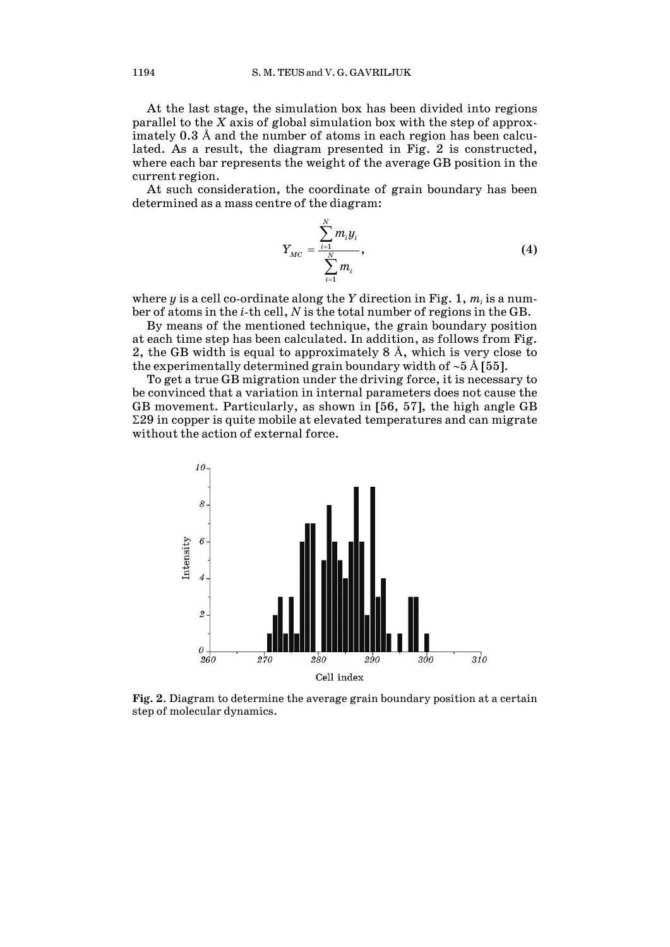At the last stage, the simulation box has been divided into regions parallel to the *X* axis of global simulation box with the step of approximately 0.3 Å and the number of atoms in each region has been calculated. As a result, the diagram presented in Fig. 2 is constructed, where each bar represents the weight of the average GB position in the current region.

At such consideration, the coordinate of grain boundary has been determined as a mass centre of the diagram:

$$
Y_{MC} = \frac{\sum_{i=1}^{N} m_i y_i}{\sum_{i=1}^{N} m_i},
$$
 (4)

where  $y$  is a cell co-ordinate along the  $Y$  direction in Fig. 1,  $m_i$  is a number of atoms in the *i*-th cell, *N* is the total number of regions in the GB.

By means of the mentioned technique, the grain boundary position at each time step has been calculated. In addition, as follows from Fig. 2, the GB width is equal to approximately  $8 \text{ Å}$ , which is very close to the experimentally determined grain boundary width of ∼5 Å [55].

To get a true GB migration under the driving force, it is necessary to be convinced that a variation in internal parameters does not cause the GB movement. Particularly, as shown in [56, 57], the high angle GB  $\Sigma$ 29 in copper is quite mobile at elevated temperatures and can migrate without the action of external force.



**Fig. 2**. Diagram to determine the average grain boundary position at a certain step of molecular dynamics.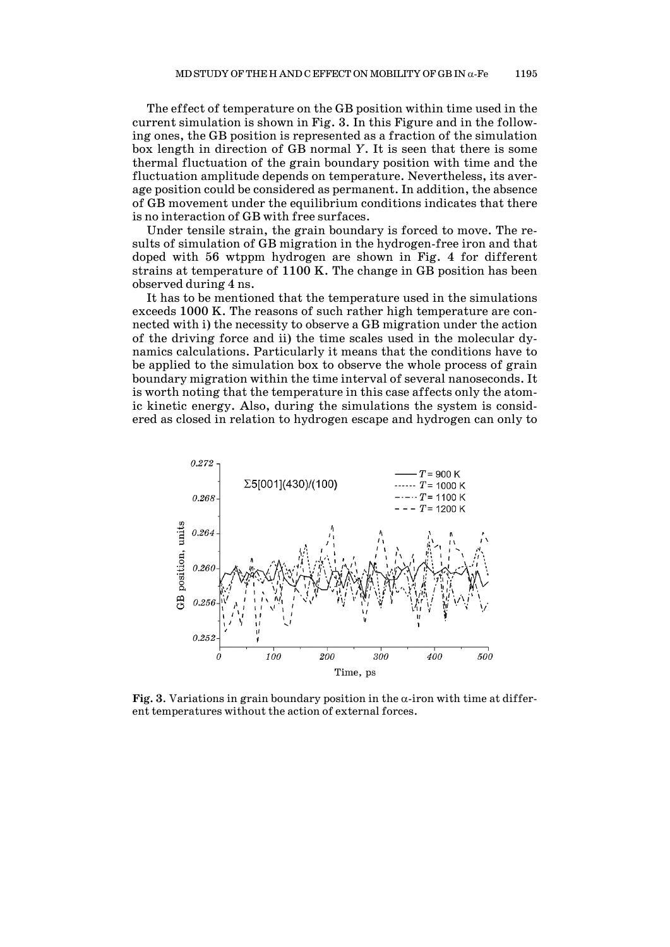The effect of temperature on the GB position within time used in the current simulation is shown in Fig. 3. In this Figure and in the following ones, the GB position is represented as a fraction of the simulation box length in direction of GB normal *Y*. It is seen that there is some thermal fluctuation of the grain boundary position with time and the fluctuation amplitude depends on temperature. Nevertheless, its average position could be considered as permanent. In addition, the absence of GB movement under the equilibrium conditions indicates that there is no interaction of GB with free surfaces.

Under tensile strain, the grain boundary is forced to move. The results of simulation of GB migration in the hydrogen-free iron and that doped with 56 wtppm hydrogen are shown in Fig. 4 for different strains at temperature of 1100 K. The change in GB position has been observed during 4 ns.

It has to be mentioned that the temperature used in the simulations exceeds 1000 K. The reasons of such rather high temperature are connected with i) the necessity to observe a GB migration under the action of the driving force and ii) the time scales used in the molecular dynamics calculations. Particularly it means that the conditions have to be applied to the simulation box to observe the whole process of grain boundary migration within the time interval of several nanoseconds. It is worth noting that the temperature in this case affects only the atomic kinetic energy. Also, during the simulations the system is considered as closed in relation to hydrogen escape and hydrogen can only to



**Fig. 3**. Variations in grain boundary position in the  $\alpha$ -iron with time at different temperatures without the action of external forces.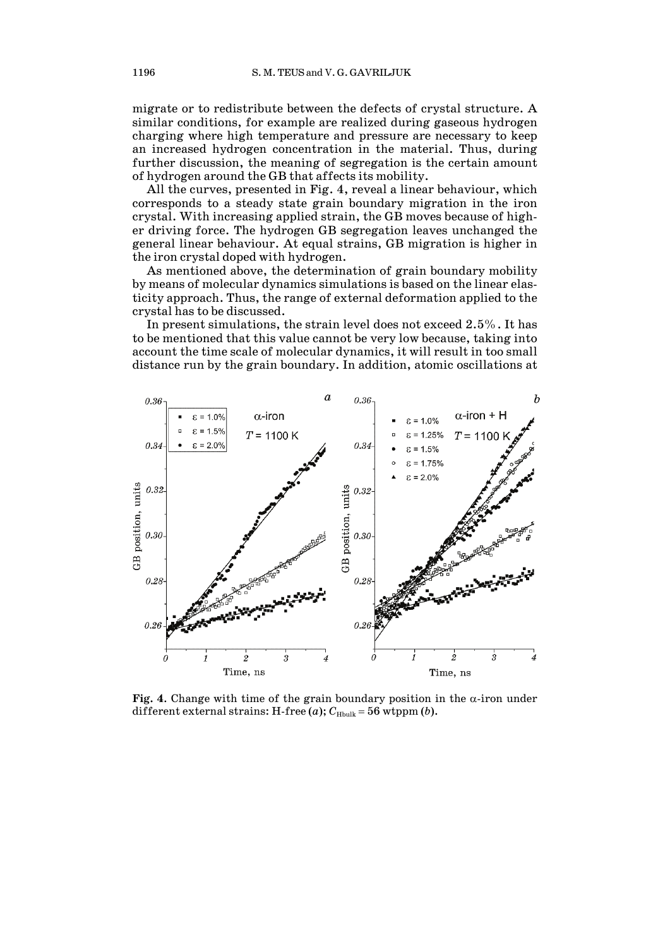migrate or to redistribute between the defects of crystal structure. A similar conditions, for example are realized during gaseous hydrogen charging where high temperature and pressure are necessary to keep an increased hydrogen concentration in the material. Thus, during further discussion, the meaning of segregation is the certain amount of hydrogen around the GB that affects its mobility.

All the curves, presented in Fig. 4, reveal a linear behaviour, which corresponds to a steady state grain boundary migration in the iron crystal. With increasing applied strain, the GB moves because of higher driving force. The hydrogen GB segregation leaves unchanged the general linear behaviour. At equal strains, GB migration is higher in the iron crystal doped with hydrogen.

As mentioned above, the determination of grain boundary mobility by means of molecular dynamics simulations is based on the linear elasticity approach. Thus, the range of external deformation applied to the crystal has to be discussed.

In present simulations, the strain level does not exceed 2.5%. It has to be mentioned that this value cannot be very low because, taking into account the time scale of molecular dynamics, it will result in too small distance run by the grain boundary. In addition, atomic oscillations at



**Fig. 4.** Change with time of the grain boundary position in the  $\alpha$ -iron under different external strains: H-free (*a*);  $C_{\text{Hbulk}} = 56$  wtppm (*b*).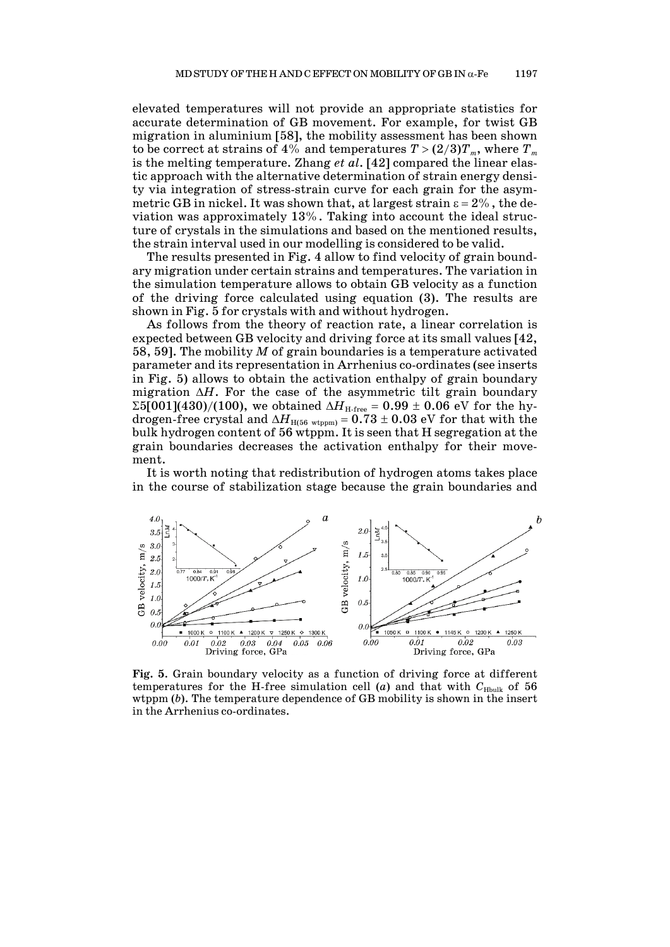elevated temperatures will not provide an appropriate statistics for accurate determination of GB movement. For example, for twist GB migration in aluminium [58], the mobility assessment has been shown to be correct at strains of 4% and temperatures  $T > (2/3)T_m$ , where  $T_m$ is the melting temperature. Zhang *et al*. [42] compared the linear elastic approach with the alternative determination of strain energy density via integration of stress-strain curve for each grain for the asymmetric GB in nickel. It was shown that, at largest strain  $\varepsilon = 2\%$ , the deviation was approximately 13%. Taking into account the ideal structure of crystals in the simulations and based on the mentioned results, the strain interval used in our modelling is considered to be valid.

The results presented in Fig. 4 allow to find velocity of grain boundary migration under certain strains and temperatures. The variation in the simulation temperature allows to obtain GB velocity as a function of the driving force calculated using equation (3). The results are shown in Fig. 5 for crystals with and without hydrogen.

As follows from the theory of reaction rate, a linear correlation is expected between GB velocity and driving force at its small values [42, 58, 59]. The mobility *M* of grain boundaries is a temperature activated parameter and its representation in Arrhenius co-ordinates (see inserts in Fig. 5) allows to obtain the activation enthalpy of grain boundary migration ∆*H*. For the case of the asymmetric tilt grain boundary  $\Sigma$ 5[001](430)/(100), we obtained  $\Delta H_{\text{H-free}}$  = 0.99 ± 0.06 eV for the hydrogen-free crystal and  $\Delta H_{\text{H(56 wtpm)}} = 0.73 \pm 0.03$  eV for that with the bulk hydrogen content of 56 wtppm. It is seen that H segregation at the grain boundaries decreases the activation enthalpy for their movement.

It is worth noting that redistribution of hydrogen atoms takes place in the course of stabilization stage because the grain boundaries and



**Fig. 5**. Grain boundary velocity as a function of driving force at different temperatures for the H-free simulation cell (*a*) and that with  $C_{\text{Hbulk}}$  of 56 wtppm (*b*). The temperature dependence of GB mobility is shown in the insert in the Arrhenius co-ordinates.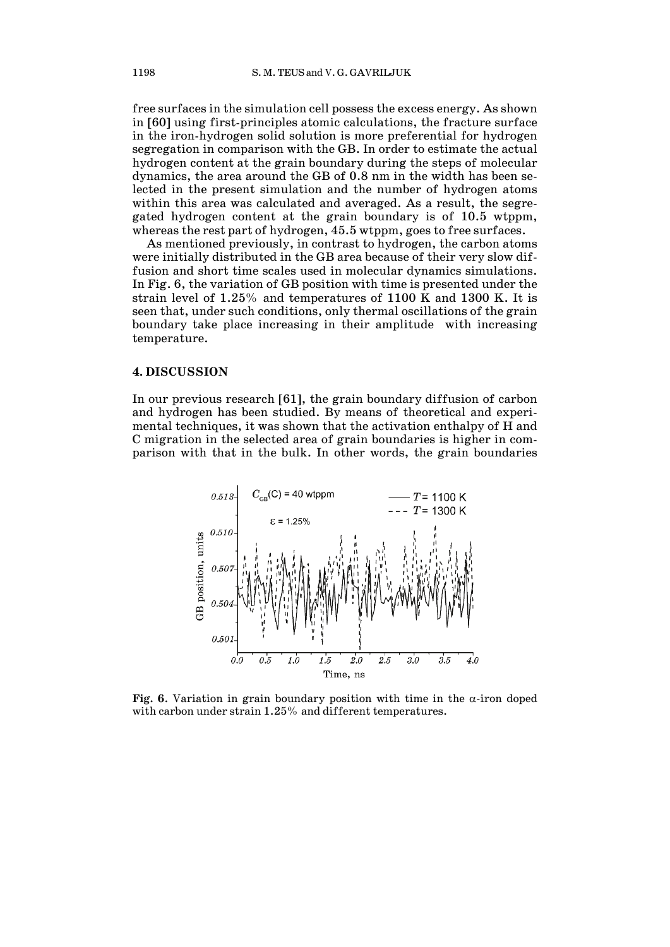free surfaces in the simulation cell possess the excess energy. As shown in [60] using first-principles atomic calculations, the fracture surface in the iron-hydrogen solid solution is more preferential for hydrogen segregation in comparison with the GB. In order to estimate the actual hydrogen content at the grain boundary during the steps of molecular dynamics, the area around the GB of 0.8 nm in the width has been selected in the present simulation and the number of hydrogen atoms within this area was calculated and averaged. As a result, the segregated hydrogen content at the grain boundary is of 10.5 wtppm, whereas the rest part of hydrogen, 45.5 wtppm, goes to free surfaces.

As mentioned previously, in contrast to hydrogen, the carbon atoms were initially distributed in the GB area because of their very slow diffusion and short time scales used in molecular dynamics simulations. In Fig. 6, the variation of GB position with time is presented under the strain level of 1.25% and temperatures of 1100 K and 1300 K. It is seen that, under such conditions, only thermal oscillations of the grain boundary take place increasing in their amplitude with increasing temperature.

#### **4. DISCUSSION**

In our previous research [61], the grain boundary diffusion of carbon and hydrogen has been studied. By means of theoretical and experimental techniques, it was shown that the activation enthalpy of H and C migration in the selected area of grain boundaries is higher in comparison with that in the bulk. In other words, the grain boundaries



**Fig. 6.** Variation in grain boundary position with time in the  $\alpha$ -iron doped with carbon under strain 1.25% and different temperatures.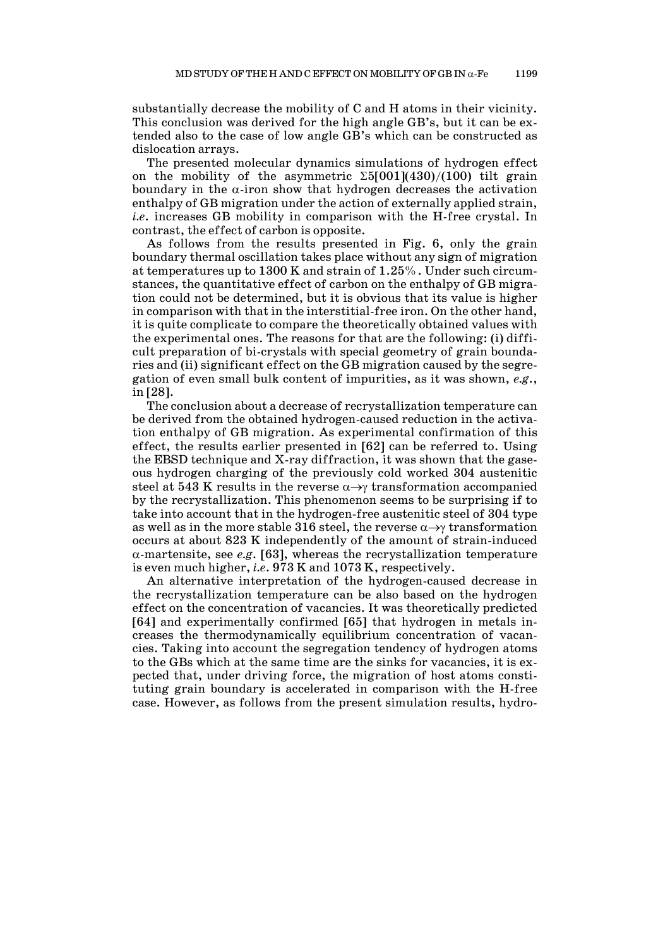substantially decrease the mobility of C and H atoms in their vicinity. This conclusion was derived for the high angle GB's, but it can be extended also to the case of low angle GB's which can be constructed as dislocation arrays.

The presented molecular dynamics simulations of hydrogen effect on the mobility of the asymmetric  $\Sigma 5[001](430)/(100)$  tilt grain boundary in the  $\alpha$ -iron show that hydrogen decreases the activation enthalpy of GB migration under the action of externally applied strain, *i.e*. increases GB mobility in comparison with the H-free crystal. In contrast, the effect of carbon is opposite.

As follows from the results presented in Fig. 6, only the grain boundary thermal oscillation takes place without any sign of migration at temperatures up to 1300 K and strain of 1.25%. Under such circumstances, the quantitative effect of carbon on the enthalpy of GB migration could not be determined, but it is obvious that its value is higher in comparison with that in the interstitial-free iron. On the other hand, it is quite complicate to compare the theoretically obtained values with the experimental ones. The reasons for that are the following: (i) difficult preparation of bi-crystals with special geometry of grain boundaries and (ii) significant effect on the GB migration caused by the segregation of even small bulk content of impurities, as it was shown, *e.g*., in [28].

The conclusion about a decrease of recrystallization temperature can be derived from the obtained hydrogen-caused reduction in the activation enthalpy of GB migration. As experimental confirmation of this effect, the results earlier presented in [62] can be referred to. Using the EBSD technique and X-ray diffraction, it was shown that the gaseous hydrogen charging of the previously cold worked 304 austenitic steel at 543 K results in the reverse  $\alpha \rightarrow \gamma$  transformation accompanied by the recrystallization. This phenomenon seems to be surprising if to take into account that in the hydrogen-free austenitic steel of 304 type as well as in the more stable 316 steel, the reverse  $\alpha \rightarrow \gamma$  transformation occurs at about 823 K independently of the amount of strain-induced α-martensite, see *e.g*. [63], whereas the recrystallization temperature is even much higher, *i.e*. 973 K and 1073 K, respectively.

An alternative interpretation of the hydrogen-caused decrease in the recrystallization temperature can be also based on the hydrogen effect on the concentration of vacancies. It was theoretically predicted [64] and experimentally confirmed [65] that hydrogen in metals increases the thermodynamically equilibrium concentration of vacancies. Taking into account the segregation tendency of hydrogen atoms to the GBs which at the same time are the sinks for vacancies, it is expected that, under driving force, the migration of host atoms constituting grain boundary is accelerated in comparison with the H-free case. However, as follows from the present simulation results, hydro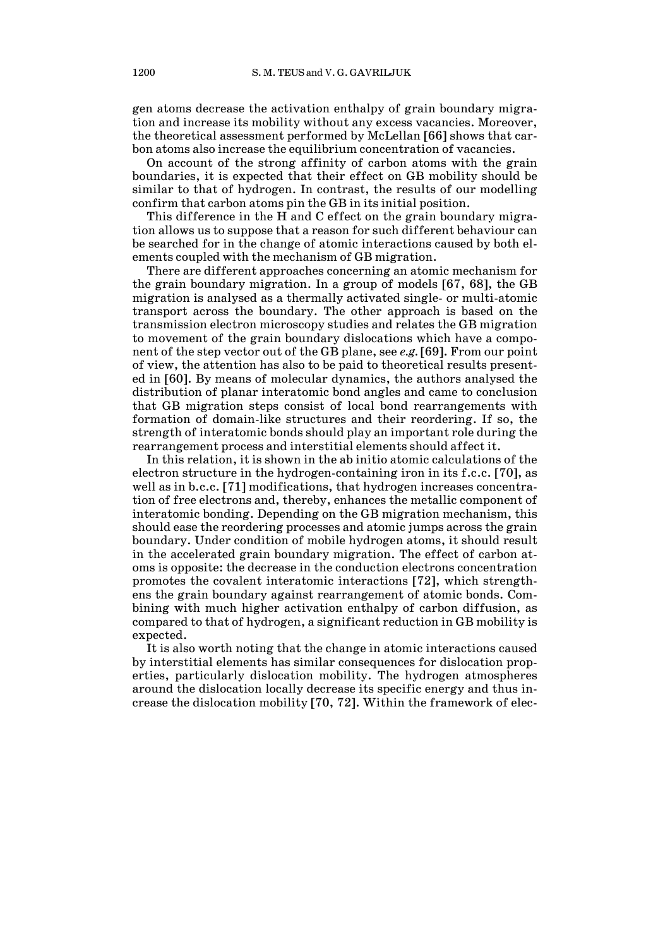gen atoms decrease the activation enthalpy of grain boundary migration and increase its mobility without any excess vacancies. Moreover, the theoretical assessment performed by McLellan [66] shows that carbon atoms also increase the equilibrium concentration of vacancies.

On account of the strong affinity of carbon atoms with the grain boundaries, it is expected that their effect on GB mobility should be similar to that of hydrogen. In contrast, the results of our modelling confirm that carbon atoms pin the GB in its initial position.

This difference in the H and C effect on the grain boundary migration allows us to suppose that a reason for such different behaviour can be searched for in the change of atomic interactions caused by both elements coupled with the mechanism of GB migration.

There are different approaches concerning an atomic mechanism for the grain boundary migration. In a group of models [67, 68], the GB migration is analysed as a thermally activated single- or multi-atomic transport across the boundary. The other approach is based on the transmission electron microscopy studies and relates the GB migration to movement of the grain boundary dislocations which have a component of the step vector out of the GB plane, see *e.g.* [69]. From our point of view, the attention has also to be paid to theoretical results presented in [60]. By means of molecular dynamics, the authors analysed the distribution of planar interatomic bond angles and came to conclusion that GB migration steps consist of local bond rearrangements with formation of domain-like structures and their reordering. If so, the strength of interatomic bonds should play an important role during the rearrangement process and interstitial elements should affect it.

In this relation, it is shown in the ab initio atomic calculations of the electron structure in the hydrogen-containing iron in its f.c.c. [70], as well as in b.c.c. [71] modifications, that hydrogen increases concentration of free electrons and, thereby, enhances the metallic component of interatomic bonding. Depending on the GB migration mechanism, this should ease the reordering processes and atomic jumps across the grain boundary. Under condition of mobile hydrogen atoms, it should result in the accelerated grain boundary migration. The effect of carbon atoms is opposite: the decrease in the conduction electrons concentration promotes the covalent interatomic interactions [72], which strengthens the grain boundary against rearrangement of atomic bonds. Combining with much higher activation enthalpy of carbon diffusion, as compared to that of hydrogen, a significant reduction in GB mobility is expected.

It is also worth noting that the change in atomic interactions caused by interstitial elements has similar consequences for dislocation properties, particularly dislocation mobility. The hydrogen atmospheres around the dislocation locally decrease its specific energy and thus increase the dislocation mobility [70, 72]. Within the framework of elec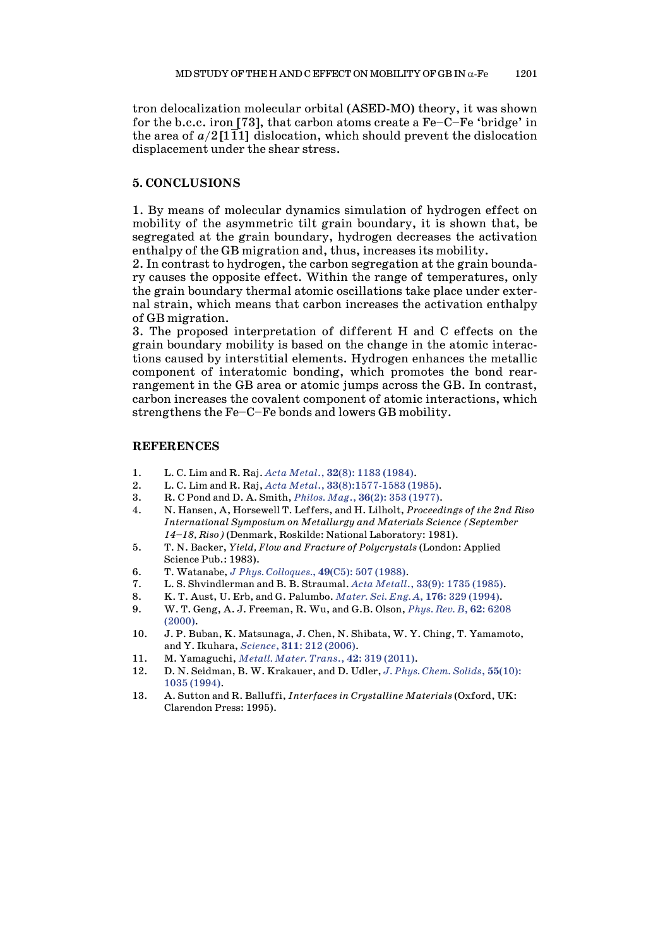tron delocalization molecular orbital (ASED-MO) theory, it was shown for the b.c.c. iron [73], that carbon atoms create a Fe–C–Fe 'bridge' in the area of  $a/2$ [111] dislocation, which should prevent the dislocation displacement under the shear stress.

### **5. CONCLUSIONS**

1. By means of molecular dynamics simulation of hydrogen effect on mobility of the asymmetric tilt grain boundary, it is shown that, be segregated at the grain boundary, hydrogen decreases the activation enthalpy of the GB migration and, thus, increases its mobility.

2. In contrast to hydrogen, the carbon segregation at the grain boundary causes the opposite effect. Within the range of temperatures, only the grain boundary thermal atomic oscillations take place under external strain, which means that carbon increases the activation enthalpy of GB migration.

3. The proposed interpretation of different H and C effects on the grain boundary mobility is based on the change in the atomic interactions caused by interstitial elements. Hydrogen enhances the metallic component of interatomic bonding, which promotes the bond rearrangement in the GB area or atomic jumps across the GB. In contrast, carbon increases the covalent component of atomic interactions, which strengthens the Fe–C–Fe bonds and lowers GB mobility.

#### **REFERENCES**

- 1. L. C. Lim and R. Raj. *Acta Metal*., **32**(8): 1183 [\(1984\).](https://doi.org/10.1016/0001-6160(84)90125-1)
- 2. L. C. Lim and R. Raj, *Acta Metal*., **33**[\(8\):1577-1583](https://doi.org/10.1016/0001-6160(85)90057-4) (1985).
- 3. R. C Pond and D. A. Smith, *Philos. Mag*., **36**(2): 353 [\(1977\).](https://doi.org/10.1080/14786437708244939)
- 4. N. Hansen, A, Horsewell T. Leffers, and H. Lilholt, *[Proceedings](https://searchworks.stanford.edu/view/1479132) of the 2nd Riso [International](https://searchworks.stanford.edu/view/1479132) Symposium on Metallurgy and Materials Science (September [14–18,](https://searchworks.stanford.edu/view/1479132) Riso)* (Denmark, Roskilde: National Laboratory: 1981).
- 5. T. N. Backer, *Yield, Flow and Fracture of Polycrystals* (London: Applied Science Pub.: 1983).
- 6. T. Watanabe, *J Phys. [Colloques.](https://doi.org/10.1051/jphyscol:1988562)*, **49**(C5): 507 (1988).
- 7. L. S. Shvindlerman and B. B. Straumal. *Acta Metall*., 33(9): 1735 [\(1985\).](https://doi.org/10.1016/0001-6160(85)90168-3)
- 8. K. T. Aust, U. Erb, and G. Palumbo. *Mater. Sci. Eng. A*, **176**: 329 [\(1994\).](https://doi.org/10.1016/0921-5093(94)90995-4)
- 9. W. T. Geng, A. J. Freeman, R. Wu, and G.B. Olson, *[Phys.](https://doi.org/10.1103/PhysRevB.62.6208) Rev. B*, **62**: 6208 [\(2000\).](https://doi.org/10.1103/PhysRevB.62.6208)
- 10. J. P. Buban, K. Matsunaga, J. Chen, N. Shibata, W. Y. Ching, T. Yamamoto, and Y. Ikuhara, *[Science](https://doi.org/10.1126/science.1119839)*, **311**: 212 (2006).
- 11. M. Yamaguchi, *[Metall.](https://doi.org/10.1007/s11661-010-0381-5) Mater. Trans*., **42**: 319 (2011).
- 12. D. N. Seidman, B. W. Krakauer, and D. Udler, *J. Phys. Chem. [Solids](https://doi.org/10.1016/0022-3697(94)90123-6)*, **55**(10): 1035 [\(1994\).](https://doi.org/10.1016/0022-3697(94)90123-6)
- 13. A. Sutton and R. Balluffi, *Interfaces in Crystalline Materials* (Oxford, UK: Clarendon Press: 1995).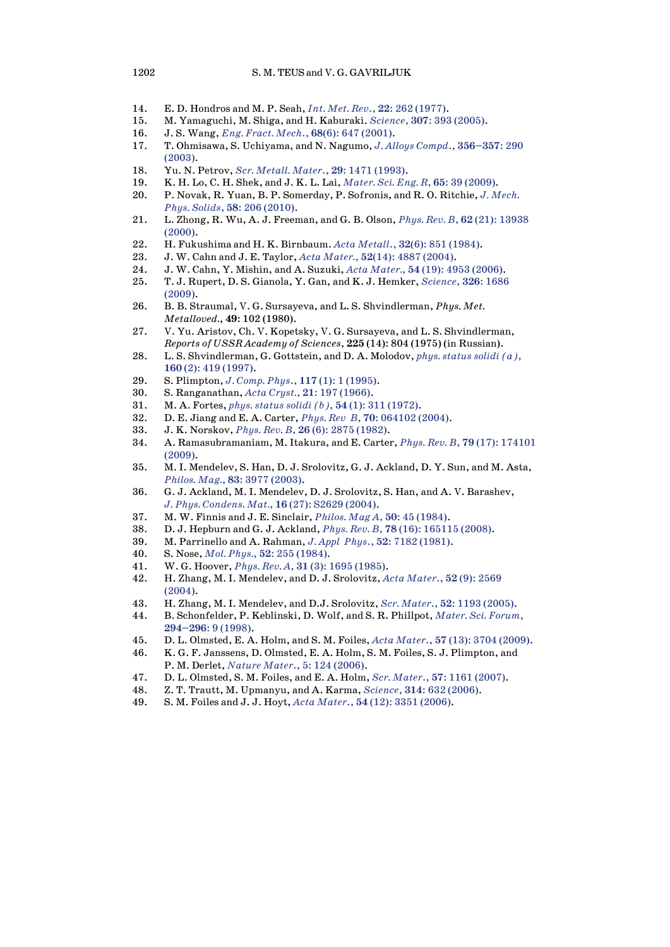- 14. E. D. Hondros and M. P. Seah, *Int. Met. Rev*., **22**: 262 [\(1977\).](https://doi.org/10.1179/095066077791100390)
- 15. M. Yamaguchi, M. Shiga, and H. Kaburaki. *[Science](https://doi.org/10.1126/science.1104624)*, **307**: 393 (2005).
- 16. J. S. Wang, *Eng. Fract. Mech*., **68**(6): 647 [\(2001\).](https://doi.org/10.1016/S0013-7944(00)00120-X)
- 17. T. Ohmisawa, S. Uchiyama, and N. Nagumo, *J. Alloys Compd*., **[356–357](https://doi.org/10.1016/S0925-8388(03)00355-4)**: 290 [\(2003\).](https://doi.org/10.1016/S0925-8388(03)00355-4)
- 18. Yu. N. Petrov, *Scr. [Metall.](https://doi.org/10.1016/0956-716X(93)90339-T) Mater*., **29**: 1471 (1993).
- 19. K. H. Lo, C. H. Shek, and J. K. L. Lai, *Mater. Sci. Eng. R*, **65**: 39 [\(2009\).](https://doi.org/10.1016/j.mser.2009.03.001)
- 20. P. Novak, R. Yuan, B. P. Somerday, P. Sofronis, and R. O. Ritchie, *J. [Mech.](https://doi.org/10.1016/j.jmps.2009.10.005) Phys. Solids*, **58**: 206 [\(2010\).](https://doi.org/10.1016/j.jmps.2009.10.005)
- 21. L. Zhong, R. Wu, A. J. Freeman, and G. B. Olson, *Phys. Rev. B*, **62** (21): [13938](https://doi.org/10.1103/PhysRevB.62.13938) [\(2000\).](https://doi.org/10.1103/PhysRevB.62.13938)
- 22. H. Fukushima and H. K. Birnbaum. *Acta Metall*., **32**(6): 851 [\(1984\).](https://doi.org/10.1016/0001-6160(84)90021-X)
- 23. J. W. Cahn and J. E. Taylor, *Acta Mater.*, **52**(14): 4887 [\(2004\).](https://doi.org/10.1016/j.actamat.2004.02.048)
- 24. J. W. Cahn, Y. Mishin, and A. Suzuki, *Acta Mater.*, **54** (19): 4953 [\(2006\).](https://doi.org/10.1016/j.actamat.2006.08.004)
- 25. T. J. Rupert, D. S. Gianola, Y. Gan, and K. J. Hemker, *[Science](https://doi.org/10.1126/science.1178226)*, **326**: 1686 [\(2009\).](https://doi.org/10.1126/science.1178226)
- 26. B. B. Straumal, V. G. Sursayeva, and L. S. Shvindlerman, *Phys. Met. Metalloved.*, **49**: 102 (1980).
- 27. V. Yu. Aristov, Ch. V. Kopetsky, V. G. Sursayeva, and L. S. Shvindlerman, *Reports of USSR Academy of Sciences*, **225** (14): 804 (1975) (in Russian).
- 28. L. S. Shvindlerman, G. Gottstein, and D. A. Molodov, *phys. [status](https://doi.org/10.1002/1521-396X(199704)160:2%3c419::AID-PSSA419%3e3.0.CO;2-O) solidi (a)*, **160** (2): 419 [\(1997\).](https://doi.org/10.1002/1521-396X(199704)160:2%3c419::AID-PSSA419%3e3.0.CO;2-O)
- 29. S. Plimpton, *J. Comp. Phys*., **117** (1): 1 [\(1995\).](https://doi.org/10.1006/jcph.1995.1039)
- 30. S. Ranganathan, *Acta Cryst.*, **21**: 197 [\(1966\).](https://doi.org/10.1107/S0365110X66002615)
- 31. M. A. Fortes, *phys. status solidi (b)*, **54** (1): 311 [\(1972\).](https://doi.org/10.1002/pssb.2220540131)
- 32. D. E. Jiang and E. A. Carter, *Phys. Rev B*, **70**: [064102](https://doi.org/10.1103/PhysRevB.70.064102) (2004).
- 33. J. K. Norskov, *Phys. Rev. B*, **26** (6): 2875 [\(1982\).](https://doi.org/10.1103/PhysRevB.26.2875)
- 34. A. Ramasubramaniam, M. Itakura, and E. Carter, *Phys. Rev. B*, **79** (17): [174101](https://doi.org/10.1103/PhysRevB.79.174101) [\(2009\).](https://doi.org/10.1103/PhysRevB.79.174101)
- 35. M. I. Mendelev, S. Han, D. J. Srolovitz, G. J. Ackland, D. Y. Sun, and M. Asta, *Philos. Mag.*, **83**: 3977 [\(2003\).](https://doi.org/10.1080/14786430310001613264)
- 36. G. J. Ackland, M. I. Mendelev, D. J. Srolovitz, S. Han, and A. V. Barashev, *J. Phys. [Condens.](https://doi.org/10.1088/0953-8984/16/27/003) Mat.*, **16** (27): S2629 (2004).
- 37. M. W. Finnis and J. E. Sinclair, *Philos. Mag A*, **50**: 45 [\(1984\).](https://doi.org/10.1080/01418618408244210)
- 38. D. J. Hepburn and G. J. Ackland, *Phys. Rev. B*, **78** (16): [165115](https://doi.org/10.1103/PhysRevB.78.165115) (2008).
- 39. M. Parrinello and A. Rahman, *J. [Appl Phys](https://doi.org/10.1063/1.328693)*., **52**: 7182 (1981).
- 40. S. Nose, *Mol. Phys.*, **52**: 255 [\(1984\).](https://doi.org/10.1080/00268978400101201)
- 41. W. G. Hoover, *Phys. Rev. A*, **31** (3): 1695 [\(1985\).](https://doi.org/10.1103/PhysRevA.31.1695)
- 42. H. Zhang, M. I. Mendelev, and D. J. Srolovitz, *Acta [Mater](https://doi.org/10.1016/j.actamat.2004.02.005)*., **52** (9): 2569  $(2004)$ .
- 43. H. Zhang, M. I. Mendelev, and D.J. Srolovitz, *Scr. Mater*., **52**: 1193 [\(2005\).](https://doi.org/10.1016/j.scriptamat.2005.03.012)
- 44. B. Schonfelder, P. Keblinski, D. Wolf, and S. R. Phillpot, *[Mater.](https://doi.org/10.4028/www.scientific.net/MSF.294-296.9) Sci. Forum*, **[294–296](https://doi.org/10.4028/www.scientific.net/MSF.294-296.9)**: 9 (1998).
- 45. D. L. Olmsted, E. A. Holm, and S. M. Foiles, *Acta Mater*., **57** (13): 3704 [\(2009\).](https://doi.org/10.1016/j.actamat.2009.04.015)
- 46. K. G. F. Janssens, D. Olmsted, E. A. Holm, S. M. Foiles, S. J. Plimpton, and P. M. Derlet, *[Nature](https://doi.org/10.1038/nmat1559) Mater*., 5: 124 (2006).
- 47. D. L. Olmsted, S. M. Foiles, and E. A. Holm, *Scr. Mater*., **57**: 1161 [\(2007\).](https://doi.org/10.1016/j.scriptamat.2007.07.045)
- 48. Z. T. Trautt, M. Upmanyu, and A. Karma, *[Science](https://doi.org/10.1126/science.1131988)*, **314**: 632 (2006).
- 49. S. M. Foiles and J. J. Hoyt, *Acta Mater*., **54** (12): 3351 [\(2006\).](https://doi.org/10.1016/j.actamat.2006.03.037)